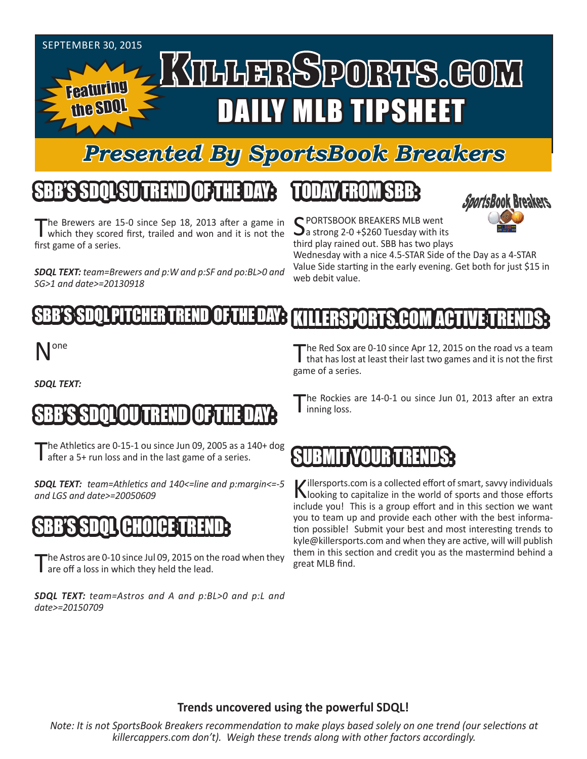

# *Presented By SportsBook Breakers*

# SBB'S SDQLSU TREND OF THE DAY:

The Brewers are 15-0 since Sep 18, 2013 after a game in which they scored first, trailed and won and it is not the first game of a series.

*SDQL TEXT: team=Brewers and p:W and p:SF and po:BL>0 and SG>1 and date>=20130918*

### TODAY FROM SBB:



C PORTSBOOK BREAKERS MLB went  $\mathbf{\sum}$  a strong 2-0 +\$260 Tuesday with its third play rained out. SBB has two plays

Wednesday with a nice 4.5-STAR Side of the Day as a 4-STAR Value Side starting in the early evening. Get both for just \$15 in web debit value.

#### LBHER TREN KILLERSPORTS.COM ACT

# one

*SDQL TEXT:* 

# SBB'S SDQLOU TREND OF THE DAY:

he Athletics are 0-15-1 ou since Jun 09, 2005 as a 140+ dog **I** after a 5+ run loss and in the last game of a series.

*SDQL TEXT: team=Athletics and 140<=line and p:margin<=-5 and LGS and date>=20050609* 

## SBB'S SDQL CHOICE TREND:

The Astros are 0-10 since Jul 09, 2015 on the road when they are off a loss in which they held the lead.

*SDQL TEXT: team=Astros and A and p:BL>0 and p:L and date>=20150709*

The Red Sox are 0-10 since Apr 12, 2015 on the road vs a team<br>that has lost at least their last two games and it is not the first game of a series.

The Rockies are 14-0-1 ou since Jun 01, 2013 after an extra I inning loss.

# SUBMIT YOUR TRENDS:

Killersports.com is a collected effort of smart, savvy individuals looking to capitalize in the world of sports and those efforts include you! This is a group effort and in this section we want you to team up and provide each other with the best information possible! Submit your best and most interesting trends to kyle@killersports.com and when they are active, will will publish them in this section and credit you as the mastermind behind a great MLB find.

### **Trends uncovered using the powerful SDQL!**

*Note: It is not SportsBook Breakers recommendation to make plays based solely on one trend (our selections at killercappers.com don't). Weigh these trends along with other factors accordingly.*